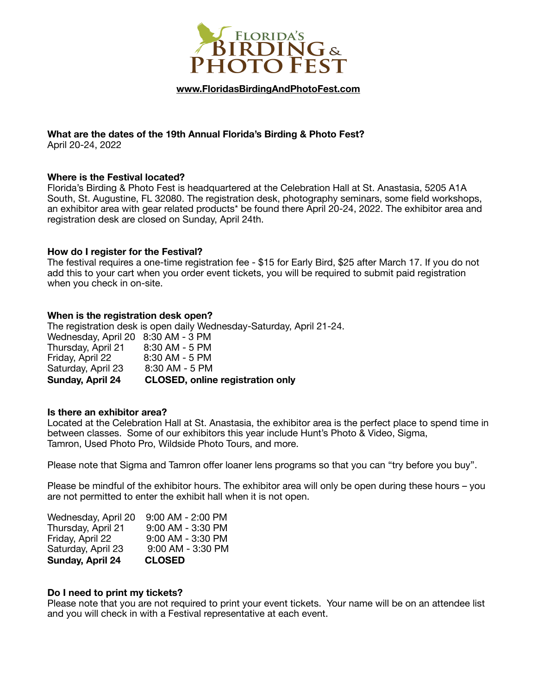

**[www.FloridasBirdingAndPhotoFest.com](http://www.FloridasBirdingAndPhotoFest.com)**

# **What are the dates of the 19th Annual Florida's Birding & Photo Fest?**

April 20-24, 2022

## **Where is the Festival located?**

Florida's Birding & Photo Fest is headquartered at the Celebration Hall at St. Anastasia, 5205 A1A South, St. Augustine, FL 32080. The registration desk, photography seminars, some field workshops, an exhibitor area with gear related products\* be found there April 20-24, 2022. The exhibitor area and registration desk are closed on Sunday, April 24th.

## **How do I register for the Festival?**

The festival requires a one-time registration fee - \$15 for Early Bird, \$25 after March 17. If you do not add this to your cart when you order event tickets, you will be required to submit paid registration when you check in on-site.

# **When is the registration desk open?**

The registration desk is open daily Wednesday-Saturday, April 21-24.

| <b>Sunday, April 24</b>            | <b>CLOSED, online registration only</b> |
|------------------------------------|-----------------------------------------|
| Saturday, April 23                 | 8:30 AM - 5 PM                          |
| Friday, April 22                   | 8:30 AM - 5 PM                          |
| Thursday, April 21                 | 8:30 AM - 5 PM                          |
| Wednesday, April 20 8:30 AM - 3 PM |                                         |

## **Is there an exhibitor area?**

Located at the Celebration Hall at St. Anastasia, the exhibitor area is the perfect place to spend time in between classes. Some of our exhibitors this year include Hunt's Photo & Video, Sigma, Tamron, Used Photo Pro, Wildside Photo Tours, and more.

Please note that Sigma and Tamron offer loaner lens programs so that you can "try before you buy".

Please be mindful of the exhibitor hours. The exhibitor area will only be open during these hours – you are not permitted to enter the exhibit hall when it is not open.

| Wednesday, April 20 | $9:00$ AM - $2:00$ PM |
|---------------------|-----------------------|
| Thursday, April 21  | 9:00 AM - 3:30 PM     |
| Friday, April 22    | 9:00 AM - 3:30 PM     |
| Saturday, April 23  | 9:00 AM - 3:30 PM     |
| Sunday, April 24    | <b>CLOSED</b>         |

## **Do I need to print my tickets?**

Please note that you are not required to print your event tickets. Your name will be on an attendee list and you will check in with a Festival representative at each event.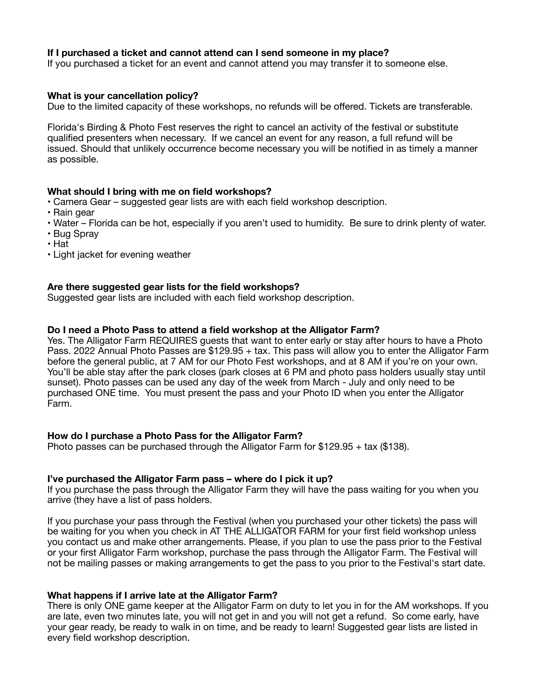## **If I purchased a ticket and cannot attend can I send someone in my place?**

If you purchased a ticket for an event and cannot attend you may transfer it to someone else.

## **What is your cancellation policy?**

Due to the limited capacity of these workshops, no refunds will be offered. Tickets are transferable.

Florida's Birding & Photo Fest reserves the right to cancel an activity of the festival or substitute qualified presenters when necessary. If we cancel an event for any reason, a full refund will be issued. Should that unlikely occurrence become necessary you will be notified in as timely a manner as possible.

## **What should I bring with me on field workshops?**

- Camera Gear suggested gear lists are with each field workshop description.
- Rain gear
- Water Florida can be hot, especially if you aren't used to humidity. Be sure to drink plenty of water.
- Bug Spray
- Hat
- Light jacket for evening weather

## **Are there suggested gear lists for the field workshops?**

Suggested gear lists are included with each field workshop description.

## **Do I need a Photo Pass to attend a field workshop at the Alligator Farm?**

Yes. The Alligator Farm REQUIRES guests that want to enter early or stay after hours to have a Photo Pass. 2022 Annual Photo Passes are \$129.95 + tax. This pass will allow you to enter the Alligator Farm before the general public, at 7 AM for our Photo Fest workshops, and at 8 AM if you're on your own. You'll be able stay after the park closes (park closes at 6 PM and photo pass holders usually stay until sunset). Photo passes can be used any day of the week from March - July and only need to be purchased ONE time. You must present the pass and your Photo ID when you enter the Alligator Farm.

## **How do I purchase a Photo Pass for the Alligator Farm?**

Photo passes can be purchased through the Alligator Farm for \$129.95 + tax (\$138).

#### **I've purchased the Alligator Farm pass – where do I pick it up?**

If you purchase the pass through the Alligator Farm they will have the pass waiting for you when you arrive (they have a list of pass holders.

If you purchase your pass through the Festival (when you purchased your other tickets) the pass will be waiting for you when you check in AT THE ALLIGATOR FARM for your first field workshop unless you contact us and make other arrangements. Please, if you plan to use the pass prior to the Festival or your first Alligator Farm workshop, purchase the pass through the Alligator Farm. The Festival will not be mailing passes or making arrangements to get the pass to you prior to the Festival's start date.

## **What happens if I arrive late at the Alligator Farm?**

There is only ONE game keeper at the Alligator Farm on duty to let you in for the AM workshops. If you are late, even two minutes late, you will not get in and you will not get a refund. So come early, have your gear ready, be ready to walk in on time, and be ready to learn! Suggested gear lists are listed in every field workshop description.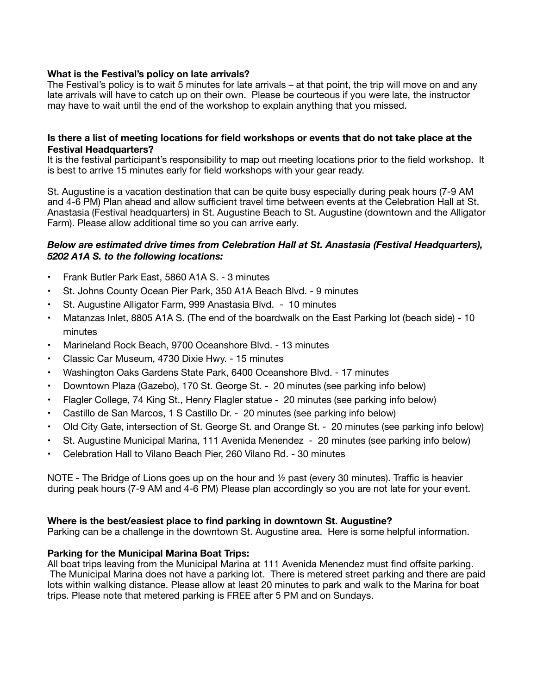# **What is the Festival's policy on late arrivals?**

The Festival's policy is to wait 5 minutes for late arrivals – at that point, the trip will move on and any late arrivals will have to catch up on their own. Please be courteous if you were late, the instructor may have to wait until the end of the workshop to explain anything that you missed.

## **Is there a list of meeting locations for field workshops or events that do not take place at the Festival Headquarters?**

It is the festival participant's responsibility to map out meeting locations prior to the field workshop. It is best to arrive 15 minutes early for field workshops with your gear ready.

St. Augustine is a vacation destination that can be quite busy especially during peak hours (7-9 AM and 4-6 PM) Plan ahead and allow sufficient travel time between events at the Celebration Hall at St. Anastasia (Festival headquarters) in St. Augustine Beach to St. Augustine (downtown and the Alligator Farm). Please allow additional time so you can arrive early.

## *Below are estimated drive times from Celebration Hall at St. Anastasia (Festival Headquarters), 5202 A1A S. to the following locations:*

- Frank Butler Park East, 5860 A1A S. 3 minutes
- St. Johns County Ocean Pier Park, 350 A1A Beach Blvd. 9 minutes
- St. Augustine Alligator Farm, 999 Anastasia Blvd. 10 minutes
- Matanzas Inlet, 8805 A1A S. (The end of the boardwalk on the East Parking lot (beach side) 10 minutes
- Marineland Rock Beach, 9700 Oceanshore Blvd. 13 minutes
- Classic Car Museum, 4730 Dixie Hwy. 15 minutes
- Washington Oaks Gardens State Park, 6400 Oceanshore Blvd. 17 minutes
- Downtown Plaza (Gazebo), 170 St. George St. 20 minutes (see parking info below)
- Flagler College, 74 King St., Henry Flagler statue 20 minutes (see parking info below)
- Castillo de San Marcos, 1 S Castillo Dr. 20 minutes (see parking info below)
- Old City Gate, intersection of St. George St. and Orange St. 20 minutes (see parking info below)
- St. Augustine Municipal Marina, 111 Avenida Menendez 20 minutes (see parking info below)
- Celebration Hall to Vilano Beach Pier, 260 Vilano Rd. 30 minutes

NOTE - The Bridge of Lions goes up on the hour and  $\frac{1}{2}$  past (every 30 minutes). Traffic is heavier during peak hours (7-9 AM and 4-6 PM) Please plan accordingly so you are not late for your event.

## **Where is the best/easiest place to find parking in downtown St. Augustine?**

Parking can be a challenge in the downtown St. Augustine area. Here is some helpful information.

## **Parking for the Municipal Marina Boat Trips:**

All boat trips leaving from the Municipal Marina at 111 Avenida Menendez must find offsite parking. The Municipal Marina does not have a parking lot. There is metered street parking and there are paid lots within walking distance. Please allow at least 20 minutes to park and walk to the Marina for boat trips. Please note that metered parking is FREE after 5 PM and on Sundays.